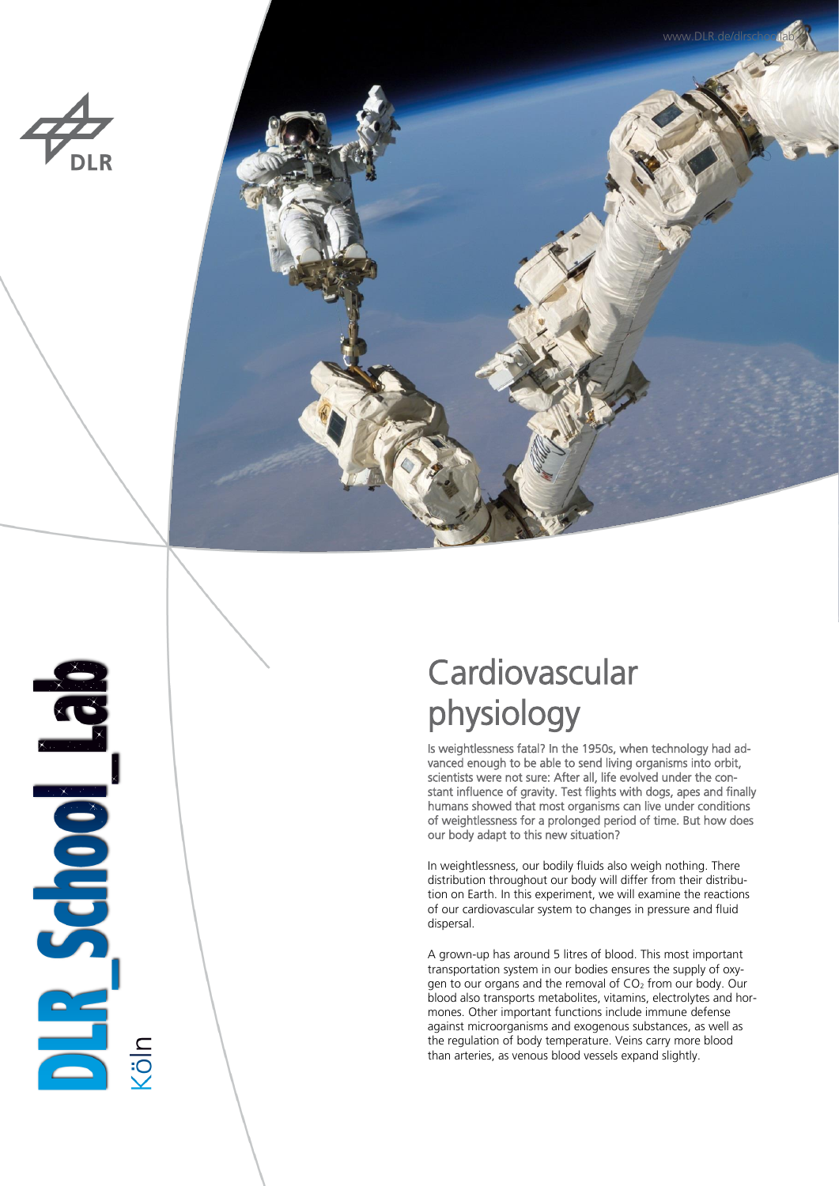



# **PLASCIOUSE**

## **Cardiovascular** physiology

Is weightlessness fatal? In the 1950s, when technology had advanced enough to be able to send living organisms into orbit, scientists were not sure: After all, life evolved under the constant influence of gravity. Test flights with dogs, apes and finally humans showed that most organisms can live under conditions of weightlessness for a prolonged period of time. But how does our body adapt to this new situation?

In weightlessness, our bodily fluids also weigh nothing. There distribution throughout our body will differ from their distribution on Earth. In this experiment, we will examine the reactions of our cardiovascular system to changes in pressure and fluid dispersal.

A grown-up has around 5 litres of blood. This most important transportation system in our bodies ensures the supply of oxygen to our organs and the removal of  $CO<sub>2</sub>$  from our body. Our blood also transports metabolites, vitamins, electrolytes and hormones. Other important functions include immune defense against microorganisms and exogenous substances, as well as the regulation of body temperature. Veins carry more blood than arteries, as venous blood vessels expand slightly.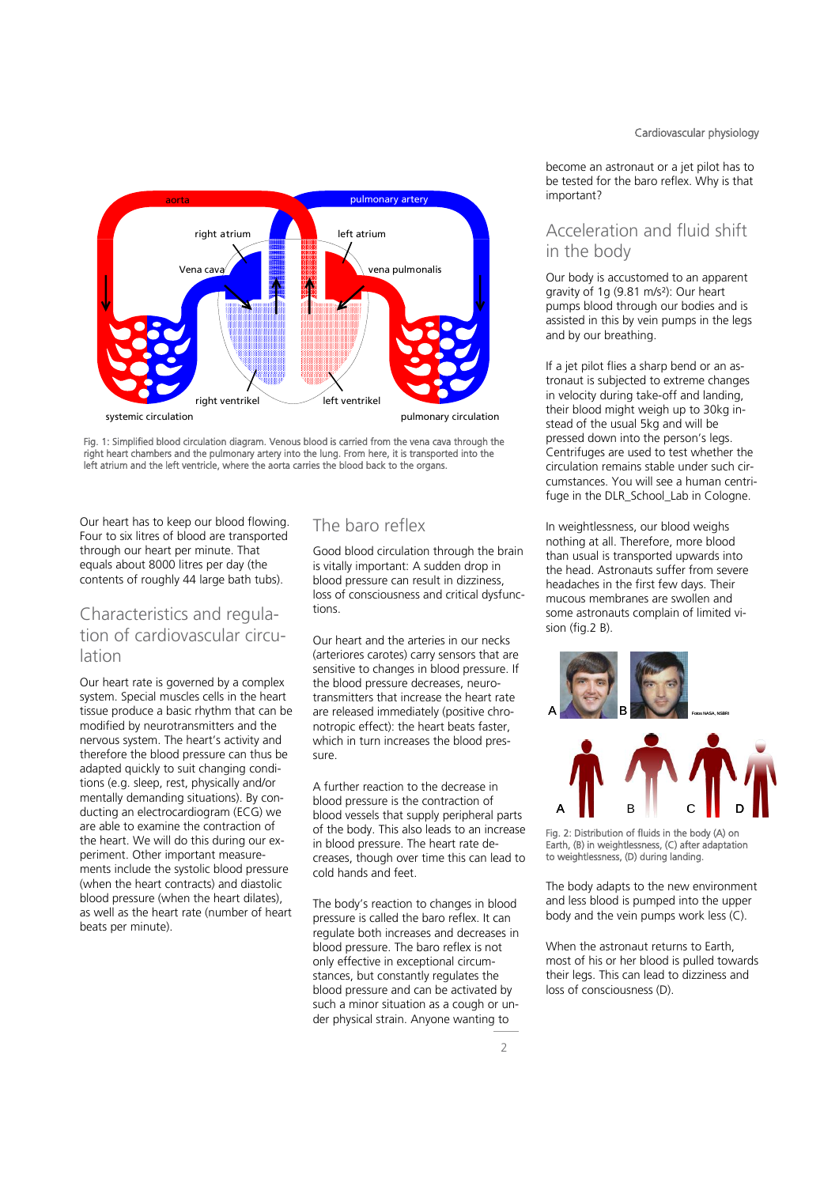

systemic circulation **pulmonary circulation** pulmonary circulation

Fig. 1: Simplified blood circulation diagram. Venous blood is carried from the vena cava through the right heart chambers and the pulmonary artery into the lung. From here, it is transported into the left atrium and the left ventricle, where the aorta carries the blood back to the organs.

Our heart has to keep our blood flowing. Four to six litres of blood are transported through our heart per minute. That equals about 8000 litres per day (the contents of roughly 44 large bath tubs).

### Characteristics and regulation of cardiovascular circulation

Our heart rate is governed by a complex system. Special muscles cells in the heart tissue produce a basic rhythm that can be modified by neurotransmitters and the nervous system. The heart's activity and therefore the blood pressure can thus be adapted quickly to suit changing conditions (e.g. sleep, rest, physically and/or mentally demanding situations). By conducting an electrocardiogram (ECG) we are able to examine the contraction of the heart. We will do this during our experiment. Other important measurements include the systolic blood pressure (when the heart contracts) and diastolic blood pressure (when the heart dilates), as well as the heart rate (number of heart beats per minute).

### The baro reflex

Good blood circulation through the brain is vitally important: A sudden drop in blood pressure can result in dizziness, loss of consciousness and critical dysfunctions.

Our heart and the arteries in our necks (arteriores carotes) carry sensors that are sensitive to changes in blood pressure. If the blood pressure decreases, neurotransmitters that increase the heart rate are released immediately (positive chronotropic effect): the heart beats faster, which in turn increases the blood pressure.

A further reaction to the decrease in blood pressure is the contraction of blood vessels that supply peripheral parts of the body. This also leads to an increase in blood pressure. The heart rate decreases, though over time this can lead to cold hands and feet.

The body's reaction to changes in blood pressure is called the baro reflex. It can regulate both increases and decreases in blood pressure. The baro reflex is not only effective in exceptional circumstances, but constantly regulates the blood pressure and can be activated by such a minor situation as a cough or under physical strain. Anyone wanting to

become an astronaut or a jet pilot has to be tested for the baro reflex. Why is that important?

### Acceleration and fluid shift in the body

Our body is accustomed to an apparent gravity of 1g (9.81 m/s²): Our heart pumps blood through our bodies and is assisted in this by vein pumps in the legs and by our breathing.

If a jet pilot flies a sharp bend or an astronaut is subjected to extreme changes in velocity during take-off and landing, their blood might weigh up to 30kg instead of the usual 5kg and will be pressed down into the person's legs. Centrifuges are used to test whether the circulation remains stable under such circumstances. You will see a human centrifuge in the DLR\_School\_Lab in Cologne.

In weightlessness, our blood weighs nothing at all. Therefore, more blood than usual is transported upwards into the head. Astronauts suffer from severe headaches in the first few days. Their mucous membranes are swollen and some astronauts complain of limited vision (fig.2 B).



Fig. 2: Distribution of fluids in the body (A) on Earth, (B) in weightlessness, (C) after adaptation to weightlessness, (D) during landing.

The body adapts to the new environment and less blood is pumped into the upper body and the vein pumps work less (C).

When the astronaut returns to Earth, most of his or her blood is pulled towards their legs. This can lead to dizziness and loss of consciousness (D).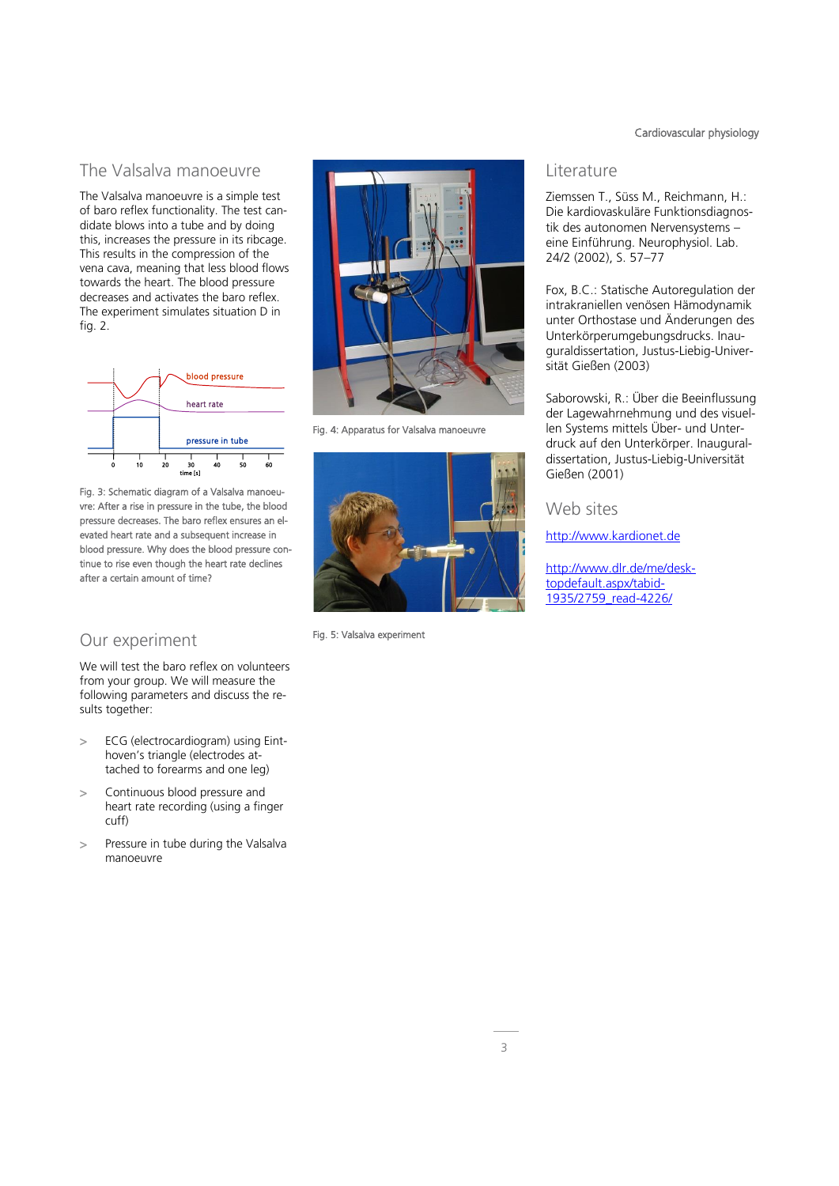### The Valsalva manoeuvre

The Valsalva manoeuvre is a simple test of baro reflex functionality. The test candidate blows into a tube and by doing this, increases the pressure in its ribcage. This results in the compression of the vena cava, meaning that less blood flows towards the heart. The blood pressure decreases and activates the baro reflex. The experiment simulates situation D in fig. 2.



Fig. 3: Schematic diagram of a Valsalva manoeuvre: After a rise in pressure in the tube, the blood pressure decreases. The baro reflex ensures an elevated heart rate and a subsequent increase in blood pressure. Why does the blood pressure continue to rise even though the heart rate declines after a certain amount of time?

### Our experiment

We will test the baro reflex on volunteers from your group. We will measure the following parameters and discuss the results together:

- > ECG (electrocardiogram) using Einthoven's triangle (electrodes attached to forearms and one leg)
- > Continuous blood pressure and heart rate recording (using a finger cuff)
- > Pressure in tube during the Valsalva manoeuvre



Fig. 4: Apparatus for Valsalva manoeuvre



Fig. 5: Valsalva experiment

### Cardiovascular physiology

### **Literature**

Ziemssen T., Süss M., Reichmann, H.: Die kardiovaskuläre Funktionsdiagnostik des autonomen Nervensystems – eine Einführung. Neurophysiol. Lab. 24/2 (2002), S. 57–77

Fox, B.C.: Statische Autoregulation der intrakraniellen venösen Hämodynamik unter Orthostase und Änderungen des Unterkörperumgebungsdrucks. Inauguraldissertation, Justus-Liebig-Universität Gießen (2003)

Saborowski, R.: Über die Beeinflussung der Lagewahrnehmung und des visuellen Systems mittels Über- und Unterdruck auf den Unterkörper. Inauguraldissertation, Justus-Liebig-Universität Gießen (2001)

### Web sites

[http://www.kardionet.de](http://www.kardionet.de/)

[http://www.dlr.de/me/desk](http://www.dlr.de/me/desktopdefault.aspx/tabid-1935/2759_read-4226/)[topdefault.aspx/tabid-](http://www.dlr.de/me/desktopdefault.aspx/tabid-1935/2759_read-4226/)[1935/2759\\_read-4226/](http://www.dlr.de/me/desktopdefault.aspx/tabid-1935/2759_read-4226/)